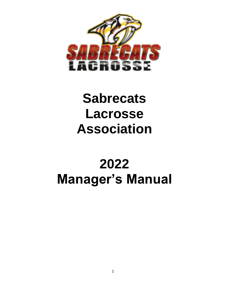

# **Sabrecats Lacrosse Association**

# **2022 Manager's Manual**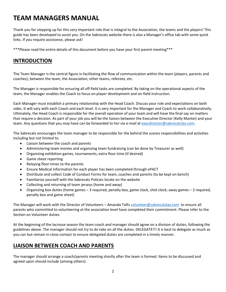## **TEAM MANAGERS MANUAL**

Thank you for stepping up for this very important role that is integral to the Association, the teams and the players! This guide has been developed to assist you. On the Sabrecats website there is also a Manager's office tab with some quick links. If you require assistance, please ask!

\*\*\*Please read the entire details of this document before you have your first parent meeting\*\*\*

## **INTRODUCTION**

The Team Manager is the central figure in facilitating the flow of communication within the team (players, parents and coaches), between the team, the Association, other teams, referees, etc.

The Manager is responsible for ensuring all off-field tasks are completed. By taking on the operational aspects of the team, the Manager enables the Coach to focus on player development and on-field instruction.

Each Manager must establish a primary relationship with the Head Coach. Discuss your role and expectations on both sides. It will vary with each Coach and each level. It is very important for the Manager and Coach to work collaboratively. Ultimately, the Head Coach is responsible for the overall operation of your team and will have the final say on matters that require a decision. As part of your job you will be the liaison between the Executive Director (Kelly Mantei) and your team. Any questions that you may have can be forwarded to her via e-mail a[t execdirector@sabrecatslax.com.](mailto:execdirector@sabrecatslax.com)

The Sabrecats encourages the team manager to be responsible for the behind the scenes responsibilities and activities including but not limited to:

- Liaison between the coach and parents
- Administering team monies and organizing team fundraising (can be done by Treasurer as well)
- Organizing exhibition games, tournaments, extra floor time (if desired)
- Game sheet reporting
- Relaying floor times to the parents
- Ensure Medical Information for each player has been completed through ePACT
- Distribute and collect Code of Conduct Forms for team, coaches and parents (to be kept on bench)
- Familiarize yourself with the Sabrecats Policies locate on the website
- Collecting and returning of team jerseys (home and away)
- Organizing box duties (home games 3 required, penalty box, game clock, shot clock; away games 2 required, penalty box and game sheet)

The Manager will work with the Director of Volunteers – Amanda Tafts [volunteer@sabrecatslax.com](mailto:volunteer@sabrecatslax.com) to ensure all parents who committed to volunteering at the association level have completed their commitment. Please refer to the Section on Volunteer duties.

At the beginning of the lacrosse season the team coach and manager should agree on a division of duties, following the guidelines above. The manager should not try to do take on all the duties. DELEGATE!!! It is best to delegate as much as you can but remain in close contact to ensure delegated duties are completed in a timely manner.

## **LIAISON BETWEEN COACH AND PARENTS**

The manager should arrange a coach/parents meeting shortly after the team is formed. Items to be discussed and agreed upon should include (among others):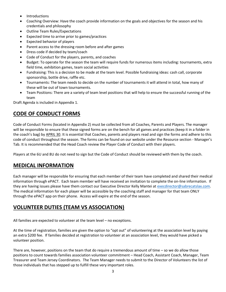- **Introductions**
- Coaching Overview: Have the coach provide information on the goals and objectives for the season and his credentials and philosophy
- Outline Team Rules/Expectations
- Expected time to arrive prior to games/practices
- Expected behavior of players
- Parent access to the dressing room before and after games
- Dress code if decided by team/coach
- Code of Conduct for the players, parents, and coaches
- Budget: To operate for the season the team will require funds for numerous items including: tournaments, extra field time, exhibition games, team social activities
- Fundraising: This is a decision to be made at the team level. Possible fundraising ideas: cash call, corporate sponsorship, bottle drive, raffle etc.
- Tournaments: The team needs to decide on the number of tournaments it will attend in total, how many of these will be out of town tournaments.
- Team Positions: There are a variety of team level positions that will help to ensure the successful running of the team

Draft Agenda is included in Appendix 1.

## **CODE OF CONDUCT FORMS**

Code of Conduct Forms (located in Appendix 2) must be collected from all Coaches, Parents and Players. The manager will be responsible to ensure that these signed forms are on the bench for all games and practices (keep it in a folder in the coach's bag) by APRIL 30. It is essential that Coaches, parents and players read and sign the forms and adhere to this code of conduct throughout the season. The forms can be found on our website under the Resource section - Manager's Tab. It is recommended that the Head Coach review the Player Code of Conduct with their players.

Players at the 6U and 8U do not need to sign but the Code of Conduct should be reviewed with them by the coach.

## **MEDICAL INFORMATION**

Each manager will be responsible for ensuring that each member of their team have completed and shared their medical information through ePACT. Each team member will have received an invitation to complete the on-line information. If they are having issues please have them contact our Executive Director Kelly Mantei at [execdirector@sabrecatslax.com.](mailto:execdirector@sabrecatslax.com) The medical information for each player will be accessible by the coaching staff and manager for that team ONLY through the ePACT app on their phone. Access will expire at the end of the season.

## **VOLUNTEER DUTIES (TEAM VS ASSOCIATION)**

All families are expected to volunteer at the team level – no exceptions.

At the time of registration, families are given the option to "opt out" of volunteering at the association level by paying an extra \$200 fee. If families decided at registration to volunteer at an association level, they would have picked a volunteer position.

There are, however, positions on the team that do require a tremendous amount of time – so we do allow those positions to count towards families association volunteer commitment – Head Coach, Assistant Coach, Manager, Team Treasurer and Team Jersey Coordinators. The Team Manager needs to submit to the Director of Volunteers the list of those individuals that has stepped up to fulfill these very important roles.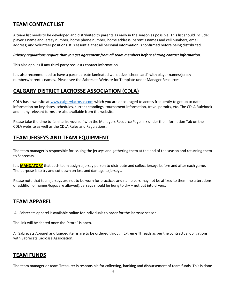## **TEAM CONTACT LIST**

A team list needs to be developed and distributed to parents as early in the season as possible. This list should include: player's name and jersey number; home phone number; home address; parent's names and cell numbers; email address; and volunteer positions. It is essential that all personal information is confirmed before being distributed.

### *Privacy regulations require that you get agreement from all team members before sharing contact information.*

This also applies if any third-party requests contact information.

It is also recommended to have a parent create laminated wallet size "cheer card" with player names/jersey numbers/parent's names. Please see the Sabrecats Website for Template under Manager Resources.

## **CALGARY DISTRICT LACROSSE ASSOCIATION (CDLA)**

CDLA has a website a[t www.calgarylacrosse.com](http://www.calgarylacrosse.com/) which you are encouraged to access frequently to get up to date information on key dates, schedules, current standings, tournament information, travel permits, etc. The CDLA Rulebook and many relevant forms are also available from the website.

Please take the time to familiarize yourself with the Managers Resource Page link under the Information Tab on the CDLA website as well as the CDLA Rules and Regulations.

## **TEAM JERSEYS AND TEAM EQUIPMENT**

The team manager is responsible for issuing the jerseys and gathering them at the end of the season and returning them to Sabrecats.

It is **MANDATORY** that each team assign a jersey person to distribute and collect jerseys before and after each game. The purpose is to try and cut down on loss and damage to jerseys.

Please note that team jerseys are not to be worn for practices and name bars may not be affixed to them (no alterations or addition of names/logos are allowed). Jerseys should be hung to dry – not put into dryers.

## **TEAM APPAREL**

All Sabrecats apparel is available online for individuals to order for the lacrosse season.

The link will be shared once the "store" is open.

All Sabrecats Apparel and Logoed items are to be ordered through Extreme Threads as per the contractual obligations with Sabrecats Lacrosse Association.

### **TEAM FUNDS**

The team manager or team Treasurer is responsible for collecting, banking and disbursement of team funds. This is done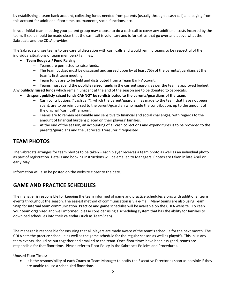by establishing a team bank account, collecting funds needed from parents (usually through a cash call) and paying from this account for additional floor time, tournaments, social functions, etc.

In your initial team meeting your parent group may choose to do a cash call to cover any additional costs incurred by the team. If so, it should be made clear that the cash call is voluntary and is for extras that go over and above what the Sabrecats and the CDLA provides.

The Sabrecats urges teams to use careful discretion with cash calls and would remind teams to be respectful of the individual situations of team members/ families.

### • **Team Budgets / Fund Raising**

- Teams are permitted to raise funds.
- The team budget must be discussed and agreed upon by at least 75% of the parents/guardians at the team's first team meeting.
- Team funds are to be held and distributed from a Team Bank Account.
- Teams must spend the **publicly raised funds** in the current season; as per the team's approved budget.

Any **publicly raised funds** which remain unspent at the end of the season are to be donated to Sabrecats.

- **Unspent publicly raised funds CANNOT be re-distributed to the parents/guardians of the team.** 
	- Cash contributions ("cash call"), which the parent/guardian has made to the team that have not been spent, are to be reimbursed to the parent/guardian who made the contribution; up to the amount of the original "cash call" amount.
	- Teams are to remain reasonable and sensitive to financial and social challenges; with regards to the amount of financial burdens placed on their players' families.
	- At the end of the season, an accounting of all cash collections and expenditures is to be provided to the parents/guardians and the Sabrecats Treasurer if requested.

## **TEAM PHOTOS**

The Sabrecats arranges for team photos to be taken – each player receives a team photo as well as an individual photo as part of registration. Details and booking instructions will be emailed to Managers. Photos are taken in late April or early May.

Information will also be posted on the website closer to the date.

## **GAME AND PRACTICE SCHEDULES**

The manager is responsible for keeping the team informed of game and practice schedules along with additional team events throughout the season. The easiest method of communication is via e-mail. Many teams are also using Team Snap for internal team communication. Practice and game schedules will be available on the CDLA website. To keep your team organized and well informed, please consider using a scheduling system that has the ability for families to download schedules into their calendar (such as TeamSnap).

The manager is responsible for ensuring that all players are made aware of the team's schedule for the next month. The CDLA sets the practice schedule as well as the game schedule for the regular season as well as playoffs. This, plus any team events, should be put together and emailed to the team. Once floor times have been assigned, teams are responsible for that floor time. Please refer to Floor Policy in the Sabrecats Policies and Procedures.

Unused Floor Times:

• It is the responsibility of each Coach or Team Manager to notify the Executive Director as soon as possible if they are unable to use a scheduled floor time.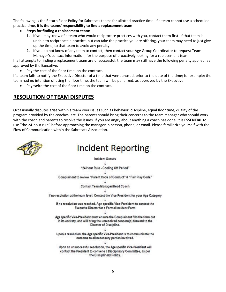The following is the Return Floor Policy for Sabrecats teams for allotted practice time. If a team cannot use a scheduled practice time, **it is the teams' responsibility to find a replacement team**.

- **Steps for finding a replacement team:**
	- **1.** If you may know of a team who would reciprocate practices with you, contact them first. If that team is unable to reciprocate a practice, but can take the practice you are offering, your team may need to just give up the time, to that team to avoid any penalty.
	- **2.** If you do not know of any team to contact, then contact your Age Group Coordinator to request Team Manager's contact information; for the purpose of proactively looking for a replacement team.

If all attempts to finding a replacement team are unsuccessful, the team may still have the following penalty applied; as approved by the Executive:

Pay the cost of the floor time; on the contract.

If a team fails to notify the Executive Director of a time that went unused, prior to the date of the time; for example; the team had no intention of using the floor time, the team will be penalized; as approved by the Executive:

• Pay **twice** the cost of the floor time on the contract.

## **RESOLUTION OF TEAM DISPUTES**

Occasionally disputes arise within a team over issues such as behavior, discipline, equal floor time, quality of the program provided by the coaches, etc. The parents should bring their concerns to the team manager who should work with the coach and parents to resolve the issues. If you are angry about anything a coach has done, it is **ESSENTIAL** to use "the 24-hour rule" before approaching the manager in person, phone, or email. Please familiarize yourself with the Flow of Communication within the Sabrecats Association.



## **Incident Reporting**

**Incident Occurs** "24 Hour Rule - Cooling Off Period" Complainant to review "Parent Code of Conduct" & "Fair Play Code" Contact Team Manager/Head Coach If no resolution at the team level; Contact the Vice President for your Age Category If no resolution was reached, Age specific Vice-President to contact the Executive Director for a Formal Incident Form Age specific Vice-President must ensure the Complainant fills the form out in its entirety, and will bring the unresolved concern(s) forward to the Director of Discipline. Upon a resolution, the Age specific Vice-President is to communicate the outcome to all necessary parties involved. Upon an unsuccessful resolution, the Age specific Vice-President will contact the President to convene a Disciplinary Committee, as per the Disciplinary Policy.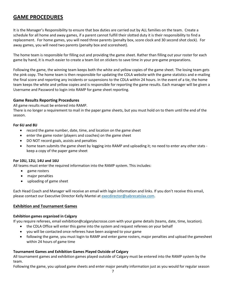## **GAME PROCEDURES**

It is the Manager's Responsibility to ensure that box duties are carried out by ALL families on the team. Create a schedule for all home and away games, if a parent cannot fulfill their slotted duty it is their responsibility to find a replacement. For home games, you will need three parents (penalty box, score clock and 30 second shot clock). For away games, you will need two parents (penalty box and scoresheet).

The home team is responsible for filling out and providing the game sheet. Rather than filling out your roster for each game by hand, it is much easier to create a team list on stickers to save time in your pre-game preparations.

Following the game, the winning team keeps both the white and yellow copies of the game sheet. The losing team gets the pink copy. The home team is then responsible for updating the CDLA website with the game statistics and e-mailing the final score and reporting any incidents or suspensions to the CDLA within 24 hours. In the event of a tie, the home team keeps the white and yellow copies and is responsible for reporting the game results. Each manager will be given a Username and Password to login into RAMP for game sheet reporting.

### **Game Results Reporting Procedures**

All game results must be entered into RAMP.

There is no longer a requirement to mail in the paper game sheets, but you must hold on to them until the end of the season.

### **For 6U and 8U**

- record the game number, date, time, and location on the game sheet
- enter the game roster (players and coaches) on the game sheet
- DO NOT record goals, assists and penalties
- home team submits the game sheet by logging into RAMP and uploading it; no need to enter any other stats keep a copy of the paper game sheet

### **For 10U, 12U, 14U and 16U**

All teams must enter the required information into the RAMP system. This includes:

- game rosters
- major penalties
- uploading of game sheet

Each Head Coach and Manager will receive an email with login information and links. If you don't receive this email, please contact our Executive Director Kelly Mantei at [execdirector@sabrecatslax.com.](mailto:execdirector@sabrecatslax.com)

### **Exhibition and Tournament Games**

### **Exhibition games organized in Calgary**

If you require referees, email exhibition@calgarylacrosse.com with your game details (teams, date, time, location).

- the CDLA Office will enter this game into the system and request referees on your behalf
- you will be contacted once referees have been assigned to your game
- following the game, you must login to RAMP and enter game rosters, major penalties and upload the gamesheet within 24 hours of game time

### **Tournament Games and Exhibition Games Played Outside of Calgary**

All tournament games and exhibition games played outside of Calgary must be entered into the RAMP system by the team.

Following the game, you upload game sheets and enter major penalty information just as you would for regular season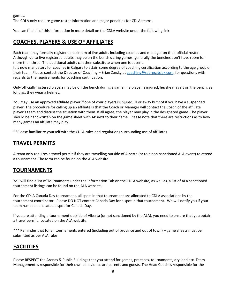games.

The CDLA only require game roster information and major penalties for CDLA teams.

You can find all of this information in more detail on the CDLA website under the following link

## **COACHES, PLAYERS & USE OF AFFILIATES**

Each team may formally register a maximum of five adults including coaches and manager on their official roster. Although up to five registered adults may be on the bench during games, generally the benches don't have room for more than three. The additional adults can then substitute when one is absent.

It is now mandatory for coaches in Calgary to attain some degree of coaching certification according to the age group of their team. Please contact the Director of Coaching – Brian Zarsky at [coaching@sabrecatslax.com](mailto:coaching@sabrecatslax.com) for questions with regards to the requirements for coaching certification.

Only officially rostered players may be on the bench during a game. If a player is injured, he/she may sit on the bench, as long as, they wear a helmet.

You may use an approved affiliate player if one of your players is injured, ill or away but not if you have a suspended player. The procedure for calling up an affiliate is that the Coach or Manager will contact the Coach of the affiliate player's team and discuss the situation with them. If all agree, the player may play in the designated game. The player should be handwritten on the game sheet with AP next to their name. Please note that there are restrictions as to how many games an affiliate may play.

\*\*Please familiarize yourself with the CDLA rules and regulations surrounding use of affiliates

## **TRAVEL PERMITS**

A team only requires a travel permit if they are travelling outside of Alberta (or to a non-sanctioned ALA event) to attend a tournament. The form can be found on the ALA website.

## **TOURNAMENTS**

You will find a list of Tournaments under the Information Tab on the CDLA website, as well as, a list of ALA sanctioned tournament listings can be found on the ALA website.

For the CDLA Canada Day tournament, all spots in that tournament are allocated to CDLA associations by the tournament coordinator. Please DO NOT contact Canada Day for a spot in that tournament. We will notify you if your team has been allocated a spot for Canada Day.

If you are attending a tournament outside of Alberta (or not sanctioned by the ALA), you need to ensure that you obtain a travel permit. Located on the ALA website.

\*\*\* Reminder that for all tournaments entered (including out of province and out of town) – game sheets must be submitted as per ALA rules

## **FACILITIES**

Please RESPECT the Arenas & Public Buildings that you attend for games, practices, tournaments, dry land etc. Team Management is responsible for their own behavior as are parents and guests. The Head Coach is responsible for the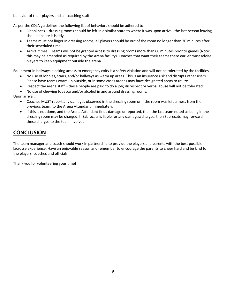behavior of their players and all coaching staff.

As per the CDLA guidelines the following list of behaviors should be adhered to:

- Cleanliness dressing rooms should be left in a similar state to where it was upon arrival, the last person leaving should ensure it is tidy.
- Teams must not linger in dressing rooms; all players should be out of the room no longer than 30 minutes after their scheduled time.
- Arrival times Teams will not be granted access to dressing rooms more than 60 minutes prior to games (Note: this may be amended as required by the Arena facility). Coaches that want their teams there earlier must advise players to keep equipment outside the arena.

Equipment in hallways blocking access to emergency exits is a safety violation and will not be tolerated by the facilities.

- No use of lobbies, stairs, and/or hallways as warm up areas. This is an insurance risk and disrupts other users. Please have teams warm up outside, or in some cases arenas may have designated areas to utilize.
- Respect the arena staff these people are paid to do a job; disrespect or verbal abuse will not be tolerated.
- No use of chewing tobacco and/or alcohol in and around dressing rooms.

Upon arrival:

- Coaches MUST report any damages observed in the dressing room or if the room was left a mess from the previous team; to the Arena Attendant immediately.
- If this is not done, and the Arena Attendant finds damage unreported, then the last team noted as being in the dressing room may be charged. If Sabrecats is liable for any damages/charges, then Sabrecats may forward these charges to the team involved.

## **CONCLUSION**

The team manager and coach should work in partnership to provide the players and parents with the best possible lacrosse experience. Have an enjoyable season and remember to encourage the parents to cheer hard and be kind to the players, coaches and officials.

Thank you for volunteering your time!!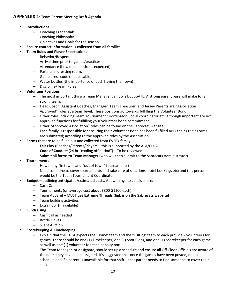### **APPENDIX 1**: **Team Parent Meeting Draft Agenda**

- **Introductions** 
	- Coaching Credentials
	- Coaching Philosophy
	- Objectives and Goals for the season

### • **Ensure contact information is collected from all families**

- **Team Rules and Player Expectations**
	- Behavior/Respect
	- Arrival time prior to games/practices.
	- Attendance (how much notice is expected)
	- Parents in dressing room.
	- Game dress code (if applicable).
	- Water bottles (the importance of each having their own)
	- Discipline/Team Rules
- **Volunteer Positions**
	- The most important thing a Team Manager can do is DELEGATE. A strong parent base will make for a strong team.
	- Head Coach, Assistant Coaches, Manager, Team Treasurer, and Jersey Parents are "Association Approved" roles at a team level. These positions go towards fulfilling the Volunteer Bond.
	- Other roles including Team Tournament Coordinator, Social coordinator etc. although important are not approved functions for fulfilling your volunteer bond commitment.
	- Other "Approved Association" roles can be found on the Sabrecats website.
	- Each family is responsible for ensuring their Volunteer Bond has been fulfilled AND their Credit Forms are submitted; according to the approved roles by the Association.
- **Forms** that are to be filled out and collected from EVERY family:
	- **Fair Play** (Coaches/Parents/Players this is supported by the ALA/CDLA.
	- **Code of Conduct** (24 hr "cooling off period") To be reviewed
	- **Submit all forms to Team Manager** (who will then submit to the Sabrecats Administrator)
- **Tournaments**
	- How many "in town" and "out of town" tournaments?
	- Need someone to cover tournaments and take care of sanctions, hotel bookings etc; and this person would be the Team Tournament Coordinator
	- **Budget**  outlining anticipated/estimated costs. A few things to consider are:
		- Cash Call
		- Tournaments (on average cost about \$800-\$1100 each)
		- Team Apparel MUST use **Extreme Threads (link is on the Sabrecats website)**
		- Team building activities
		- Extra floor (if available)
- **Fundraising**
	- Cash call as needed
	- Bottle Drives
	- Silent Auction
- **Scorekeeping** & **Timekeeping**
	- Explain that the CDLA expects the 'Home' team and the 'Visiting' team to each provide 2 volunteers for games. There should be one (1) Timekeeper, one (1) Shot Clock, and one (1) Scorekeeper for each game, as well as one (1) volunteer for each penalty box.
	- The Team Manager, or designate, should set up a schedule and ensure all Off-Floor Officials are aware of the dates they have been assigned. It's suggested that once the games have been posted, do up a schedule and if a parent is unavailable for that shift – that parent needs to find someone to cover their shift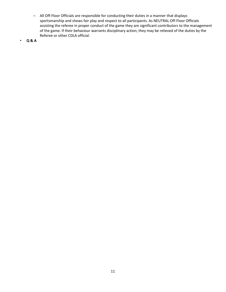- All Off-Floor Officials are responsible for conducting their duties in a manner that displays sportsmanship and shows fair play and respect to all participants. As NEUTRAL Off-Floor Officials assisting the referee in proper conduct of the game they are significant contributors to the management of the game. If their behaviour warrants disciplinary action, they may be relieved of the duties by the Referee or other CDLA official.
- **Q & A**